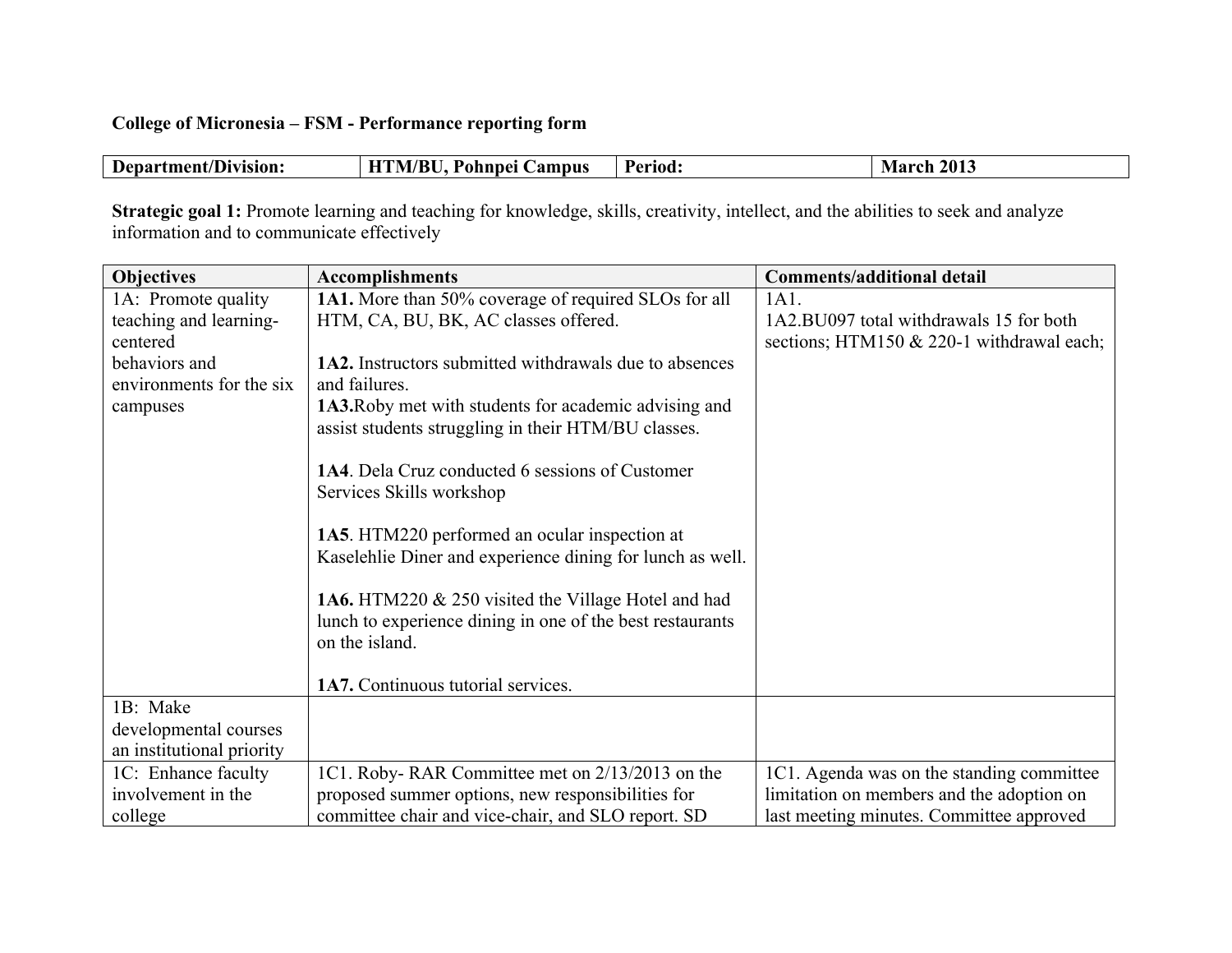## **College of Micronesia – FSM - Performance reporting form**

| HTM/BU, Pohnpei Campus<br><b>March 2013</b><br>Department/Division:<br>Period: |  |
|--------------------------------------------------------------------------------|--|
|--------------------------------------------------------------------------------|--|

**Strategic goal 1:** Promote learning and teaching for knowledge, skills, creativity, intellect, and the abilities to seek and analyze information and to communicate effectively

| <b>Objectives</b>         | <b>Accomplishments</b>                                        | <b>Comments/additional detail</b>         |
|---------------------------|---------------------------------------------------------------|-------------------------------------------|
| 1A: Promote quality       | <b>1A1.</b> More than 50% coverage of required SLOs for all   | 1A1.                                      |
| teaching and learning-    | HTM, CA, BU, BK, AC classes offered.                          | 1A2.BU097 total withdrawals 15 for both   |
| centered                  |                                                               | sections; HTM150 & 220-1 withdrawal each; |
| behaviors and             | <b>1A2.</b> Instructors submitted withdrawals due to absences |                                           |
| environments for the six  | and failures.                                                 |                                           |
| campuses                  | 1A3. Roby met with students for academic advising and         |                                           |
|                           | assist students struggling in their HTM/BU classes.           |                                           |
|                           |                                                               |                                           |
|                           | 1A4. Dela Cruz conducted 6 sessions of Customer               |                                           |
|                           | Services Skills workshop                                      |                                           |
|                           | 1A5. HTM220 performed an ocular inspection at                 |                                           |
|                           | Kaselehlie Diner and experience dining for lunch as well.     |                                           |
|                           |                                                               |                                           |
|                           | 1A6. HTM220 & 250 visited the Village Hotel and had           |                                           |
|                           | lunch to experience dining in one of the best restaurants     |                                           |
|                           | on the island.                                                |                                           |
|                           |                                                               |                                           |
|                           | 1A7. Continuous tutorial services.                            |                                           |
| 1B: Make                  |                                                               |                                           |
| developmental courses     |                                                               |                                           |
| an institutional priority |                                                               |                                           |
| 1C: Enhance faculty       | 1C1. Roby-RAR Committee met on 2/13/2013 on the               | 1C1. Agenda was on the standing committee |
| involvement in the        | proposed summer options, new responsibilities for             | limitation on members and the adoption on |
| college                   | committee chair and vice-chair, and SLO report. SD            | last meeting minutes. Committee approved  |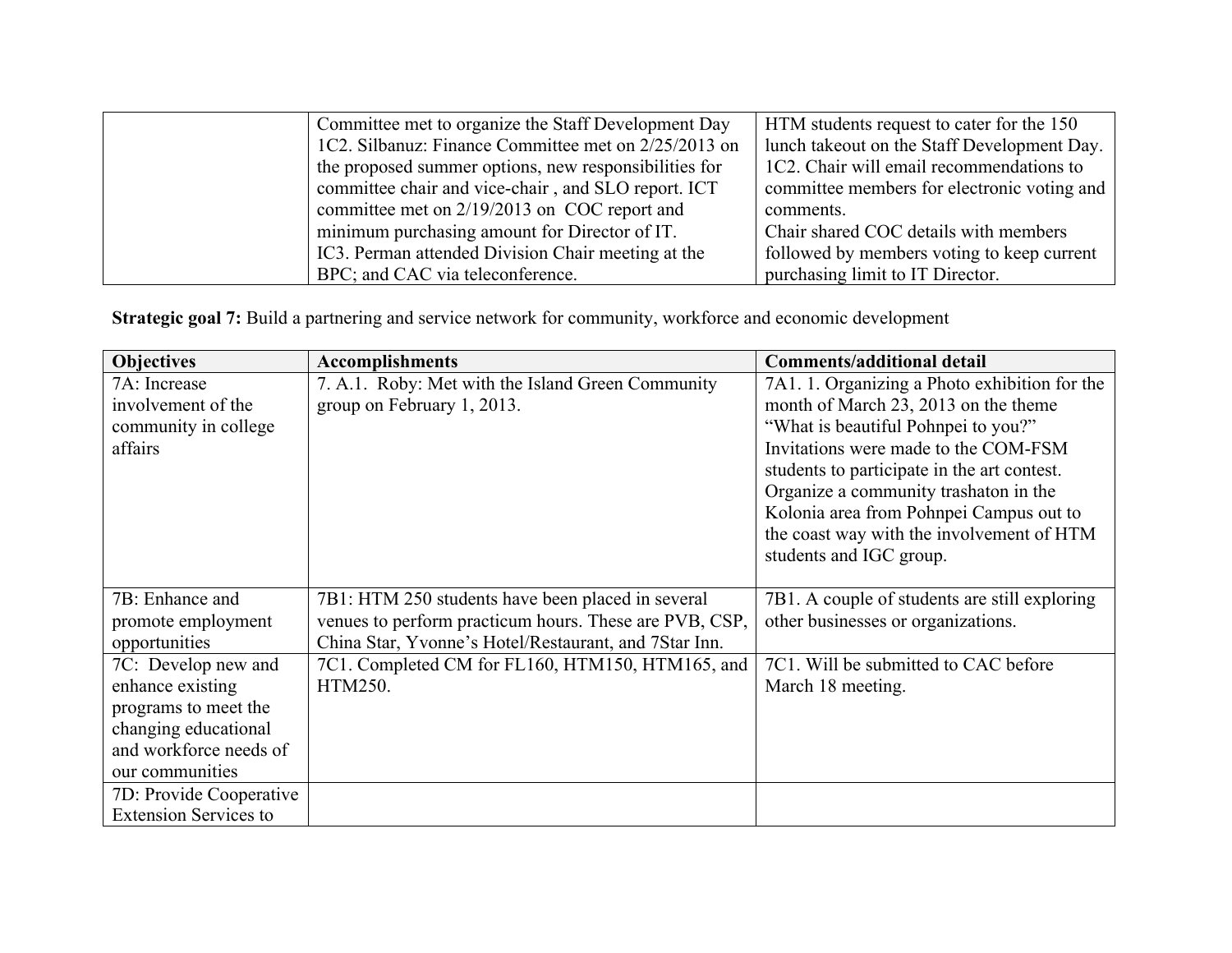| Committee met to organize the Staff Development Day   | HTM students request to cater for the 150   |
|-------------------------------------------------------|---------------------------------------------|
| 1C2. Silbanuz: Finance Committee met on 2/25/2013 on  | lunch takeout on the Staff Development Day. |
| the proposed summer options, new responsibilities for | 1C2. Chair will email recommendations to    |
| committee chair and vice-chair, and SLO report. ICT   | committee members for electronic voting and |
| committee met on 2/19/2013 on COC report and          | comments.                                   |
| minimum purchasing amount for Director of IT.         | Chair shared COC details with members       |
| IC3. Perman attended Division Chair meeting at the    | followed by members voting to keep current  |
| BPC; and CAC via teleconference.                      | purchasing limit to IT Director.            |

**Strategic goal 7:** Build a partnering and service network for community, workforce and economic development

| <b>Objectives</b>            | <b>Accomplishments</b>                                 | <b>Comments/additional detail</b>             |
|------------------------------|--------------------------------------------------------|-----------------------------------------------|
| 7A: Increase                 | 7. A.1. Roby: Met with the Island Green Community      | 7A1. 1. Organizing a Photo exhibition for the |
| involvement of the           | group on February 1, 2013.                             | month of March 23, 2013 on the theme          |
| community in college         |                                                        | "What is beautiful Pohnpei to you?"           |
| affairs                      |                                                        | Invitations were made to the COM-FSM          |
|                              |                                                        | students to participate in the art contest.   |
|                              |                                                        | Organize a community trashaton in the         |
|                              |                                                        | Kolonia area from Pohnpei Campus out to       |
|                              |                                                        | the coast way with the involvement of HTM     |
|                              |                                                        | students and IGC group.                       |
|                              |                                                        |                                               |
| 7B: Enhance and              | 7B1: HTM 250 students have been placed in several      | 7B1. A couple of students are still exploring |
| promote employment           | venues to perform practicum hours. These are PVB, CSP, | other businesses or organizations.            |
| opportunities                | China Star, Yvonne's Hotel/Restaurant, and 7Star Inn.  |                                               |
| 7C: Develop new and          | 7C1. Completed CM for FL160, HTM150, HTM165, and       | 7C1. Will be submitted to CAC before          |
| enhance existing             | HTM250.                                                | March 18 meeting.                             |
| programs to meet the         |                                                        |                                               |
| changing educational         |                                                        |                                               |
| and workforce needs of       |                                                        |                                               |
| our communities              |                                                        |                                               |
| 7D: Provide Cooperative      |                                                        |                                               |
| <b>Extension Services to</b> |                                                        |                                               |